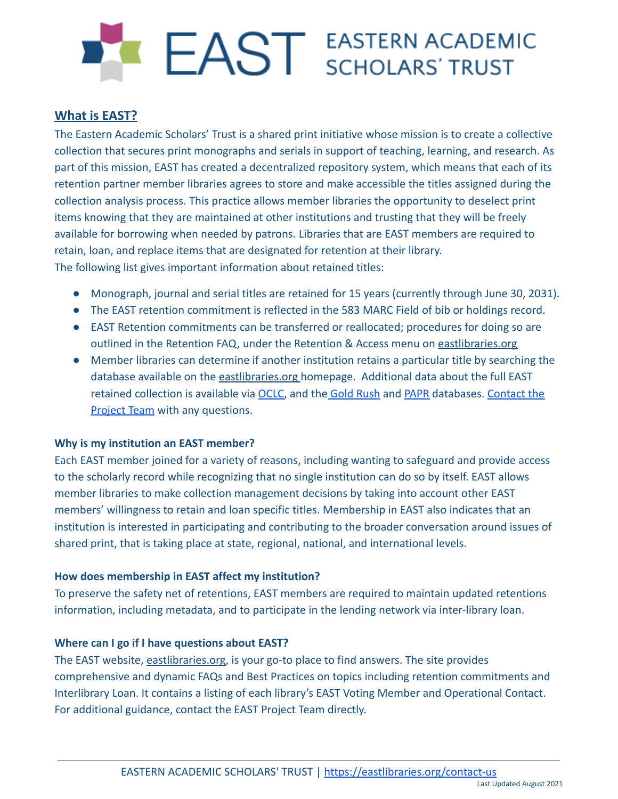# EAST EASTERN ACADEMIC

## **What is EAST?**

The Eastern Academic Scholars' Trust is a shared print initiative whose mission is to create a collective collection that secures print monographs and serials in support of teaching, learning, and research. As part of this mission, EAST has created a decentralized repository system, which means that each of its retention partner member libraries agrees to store and make accessible the titles assigned during the collection analysis process. This practice allows member libraries the opportunity to deselect print items knowing that they are maintained at other institutions and trusting that they will be freely available for borrowing when needed by patrons. Libraries that are EAST members are required to retain, loan, and replace items that are designated for retention at their library. The following list gives important information about retained titles:

- Monograph, journal and serial titles are retained for 15 years (currently through June 30, 2031).
- The EAST retention commitment is reflected in the 583 MARC Field of bib or holdings record.
- EAST Retention commitments can be transferred or reallocated; procedures for doing so are outlined in the Retention FAQ, under the Retention & Access menu on [eastlibraries.org](https://eastlibraries.org/)
- Member libraries can determine if another institution retains a particular title by searching the database available on the [eastlibraries.org](https://eastlibraries.org) homepage. Additional data about the full EAST retained collection is available via [OCLC,](https://help.oclc.org/Metadata_Services/Shared_Print/View_shared_print_retention_commitments) and the [Gold Rush](https://coalliance.org/faq-library-content-comparison-system) and [PAPR](http://papr.crl.edu/) databases. [Contact the](https://eastlibraries.org/contact-us) [Project Team](https://eastlibraries.org/contact-us) with any questions.

## **Why is my institution an EAST member?**

Each EAST member joined for a variety of reasons, including wanting to safeguard and provide access to the scholarly record while recognizing that no single institution can do so by itself. EAST allows member libraries to make collection management decisions by taking into account other EAST members' willingness to retain and loan specific titles. Membership in EAST also indicates that an institution is interested in participating and contributing to the broader conversation around issues of shared print, that is taking place at state, regional, national, and international levels.

## **How does membership in EAST affect my institution?**

To preserve the safety net of retentions, EAST members are required to maintain updated retentions information, including metadata, and to participate in the lending network via inter-library loan.

## **Where can I go if I have questions about EAST?**

The EAST website, [eastlibraries.org,](https://eastlibraries.org/) is your go-to place to find answers. The site provides comprehensive and dynamic FAQs and Best Practices on topics including retention commitments and Interlibrary Loan. It contains a listing of each library's EAST Voting Member and Operational Contact. For additional guidance, contact the EAST Project Team directly.